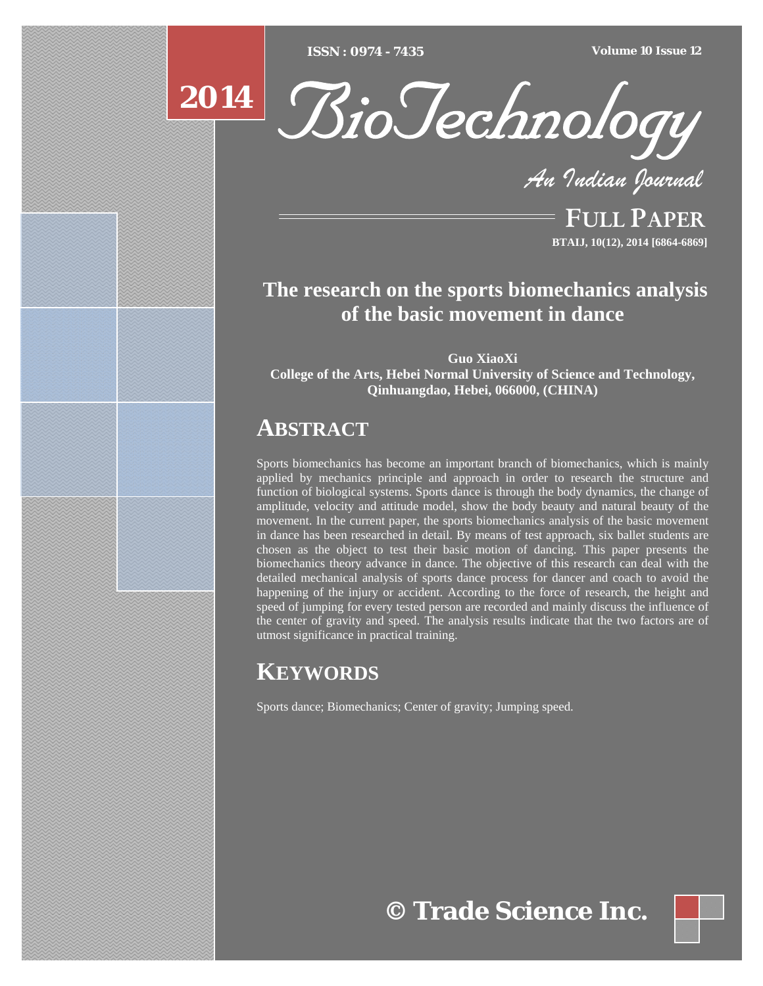[Type text] [Type text] [Type text] *ISSN : 0974 - 7435 Volume 10 Issue 12*



*An Indian Journal*

FULL PAPER **BTAIJ, 10(12), 2014 [6864-6869]**

# **The research on the sports biomechanics analysis of the basic movement in dance**

**Guo XiaoXi College of the Arts, Hebei Normal University of Science and Technology, Qinhuangdao, Hebei, 066000, (CHINA)** 

# **ABSTRACT**

Sports biomechanics has become an important branch of biomechanics, which is mainly applied by mechanics principle and approach in order to research the structure and function of biological systems. Sports dance is through the body dynamics, the change of amplitude, velocity and attitude model, show the body beauty and natural beauty of the movement. In the current paper, the sports biomechanics analysis of the basic movement in dance has been researched in detail. By means of test approach, six ballet students are chosen as the object to test their basic motion of dancing. This paper presents the biomechanics theory advance in dance. The objective of this research can deal with the detailed mechanical analysis of sports dance process for dancer and coach to avoid the happening of the injury or accident. According to the force of research, the height and speed of jumping for every tested person are recorded and mainly discuss the influence of the center of gravity and speed. The analysis results indicate that the two factors are of utmost significance in practical training.

# **KEYWORDS**

Sports dance; Biomechanics; Center of gravity; Jumping speed.

**© Trade Science Inc.**

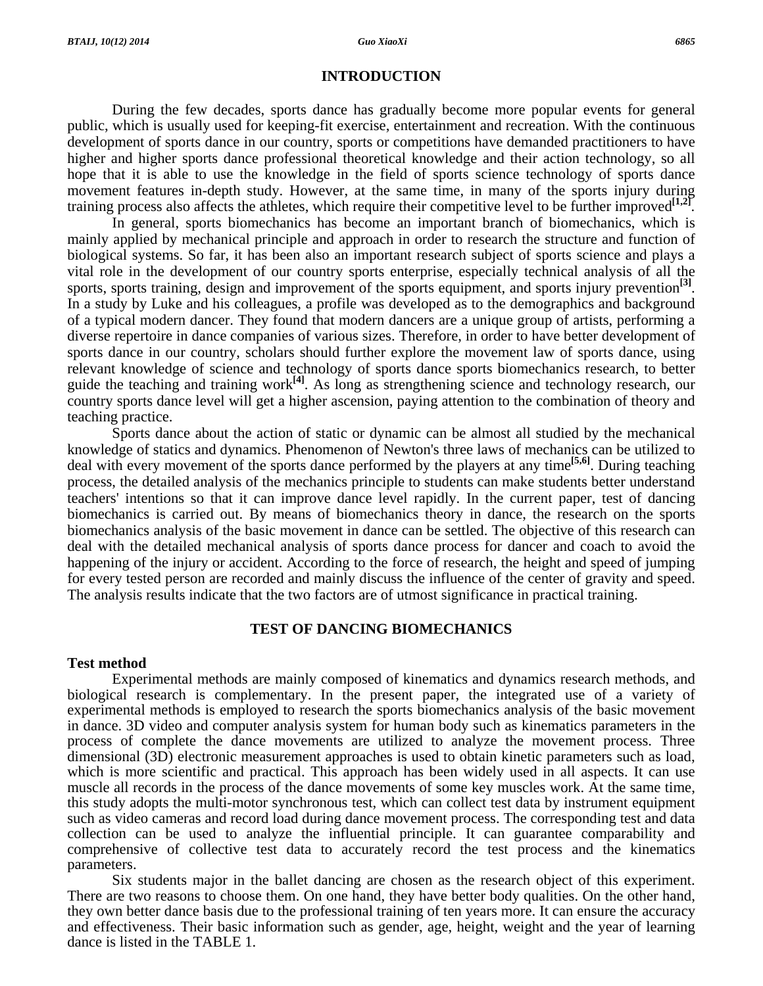### **INTRODUCTION**

During the few decades, sports dance has gradually become more popular events for general public, which is usually used for keeping-fit exercise, entertainment and recreation. With the continuous development of sports dance in our country, sports or competitions have demanded practitioners to have higher and higher sports dance professional theoretical knowledge and their action technology, so all hope that it is able to use the knowledge in the field of sports science technology of sports dance movement features in-depth study. However, at the same time, in many of the sports injury during training process also affects the athletes, which require their competitive level to be further improved<sup>[1,2]</sup>.

 In general, sports biomechanics has become an important branch of biomechanics, which is mainly applied by mechanical principle and approach in order to research the structure and function of biological systems. So far, it has been also an important research subject of sports science and plays a vital role in the development of our country sports enterprise, especially technical analysis of all the sports, sports training, design and improvement of the sports equipment, and sports injury prevention<sup>[3]</sup>. In a study by Luke and his colleagues, a profile was developed as to the demographics and background of a typical modern dancer. They found that modern dancers are a unique group of artists, performing a diverse repertoire in dance companies of various sizes. Therefore, in order to have better development of sports dance in our country, scholars should further explore the movement law of sports dance, using relevant knowledge of science and technology of sports dance sports biomechanics research, to better guide the teaching and training work<sup>[4]</sup>. As long as strengthening science and technology research, our country sports dance level will get a higher ascension, paying attention to the combination of theory and teaching practice.

 Sports dance about the action of static or dynamic can be almost all studied by the mechanical knowledge of statics and dynamics. Phenomenon of Newton's three laws of mechanics can be utilized to deal with every movement of the sports dance performed by the players at any time**[5,6]**. During teaching process, the detailed analysis of the mechanics principle to students can make students better understand teachers' intentions so that it can improve dance level rapidly. In the current paper, test of dancing biomechanics is carried out. By means of biomechanics theory in dance, the research on the sports biomechanics analysis of the basic movement in dance can be settled. The objective of this research can deal with the detailed mechanical analysis of sports dance process for dancer and coach to avoid the happening of the injury or accident. According to the force of research, the height and speed of jumping for every tested person are recorded and mainly discuss the influence of the center of gravity and speed. The analysis results indicate that the two factors are of utmost significance in practical training.

# **TEST OF DANCING BIOMECHANICS**

#### **Test method**

 Experimental methods are mainly composed of kinematics and dynamics research methods, and biological research is complementary. In the present paper, the integrated use of a variety of experimental methods is employed to research the sports biomechanics analysis of the basic movement in dance. 3D video and computer analysis system for human body such as kinematics parameters in the process of complete the dance movements are utilized to analyze the movement process. Three dimensional (3D) electronic measurement approaches is used to obtain kinetic parameters such as load, which is more scientific and practical. This approach has been widely used in all aspects. It can use muscle all records in the process of the dance movements of some key muscles work. At the same time, this study adopts the multi-motor synchronous test, which can collect test data by instrument equipment such as video cameras and record load during dance movement process. The corresponding test and data collection can be used to analyze the influential principle. It can guarantee comparability and comprehensive of collective test data to accurately record the test process and the kinematics parameters.

 Six students major in the ballet dancing are chosen as the research object of this experiment. There are two reasons to choose them. On one hand, they have better body qualities. On the other hand, they own better dance basis due to the professional training of ten years more. It can ensure the accuracy and effectiveness. Their basic information such as gender, age, height, weight and the year of learning dance is listed in the TABLE 1.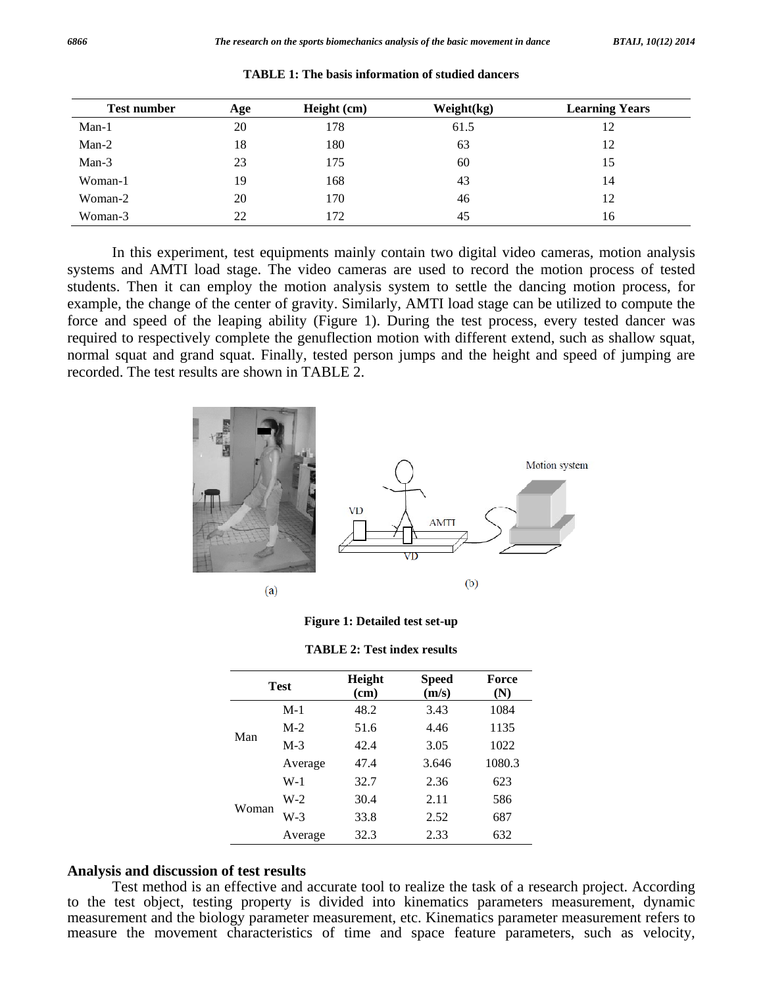| <b>Test number</b> | Age | Height (cm) | Weight(kg) | <b>Learning Years</b> |
|--------------------|-----|-------------|------------|-----------------------|
| $Man-1$            | 20  | 178         | 61.5       | 12                    |
| $Man-2$            | 18  | 180         | 63         | 12                    |
| Man-3              | 23  | 175         | 60         | 15                    |
| Woman-1            | 19  | 168         | 43         | 14                    |
| Woman-2            | 20  | 170         | 46         | 12                    |
| Woman-3            | 22  | 172         | 45         | 16                    |

**TABLE 1: The basis information of studied dancers** 

 In this experiment, test equipments mainly contain two digital video cameras, motion analysis systems and AMTI load stage. The video cameras are used to record the motion process of tested students. Then it can employ the motion analysis system to settle the dancing motion process, for example, the change of the center of gravity. Similarly, AMTI load stage can be utilized to compute the force and speed of the leaping ability (Figure 1). During the test process, every tested dancer was required to respectively complete the genuflection motion with different extend, such as shallow squat, normal squat and grand squat. Finally, tested person jumps and the height and speed of jumping are recorded. The test results are shown in TABLE 2.





|  |  |  |  | <b>TABLE 2: Test index results</b> |  |
|--|--|--|--|------------------------------------|--|
|  |  |  |  |                                    |  |

| <b>Test</b> |         | Height<br>(cm) | <b>Speed</b><br>(m/s) | Force<br>(N) |
|-------------|---------|----------------|-----------------------|--------------|
|             | $M-1$   | 48.2           | 3.43                  | 1084         |
|             | $M-2$   | 51.6           | 4.46                  | 1135         |
| Man         | $M-3$   | 42.4           | 3.05                  | 1022         |
|             | Average | 47.4           | 3.646                 | 1080.3       |
|             | W-1     | 32.7           | 2.36                  | 623          |
| Woman       | $W-2$   | 30.4           | 2.11                  | 586          |
|             | $W-3$   | 33.8           | 2.52                  | 687          |
|             | Average | 32.3           | 2.33                  | 632          |

# **Analysis and discussion of test results**

 Test method is an effective and accurate tool to realize the task of a research project. According to the test object, testing property is divided into kinematics parameters measurement, dynamic measurement and the biology parameter measurement, etc. Kinematics parameter measurement refers to measure the movement characteristics of time and space feature parameters, such as velocity,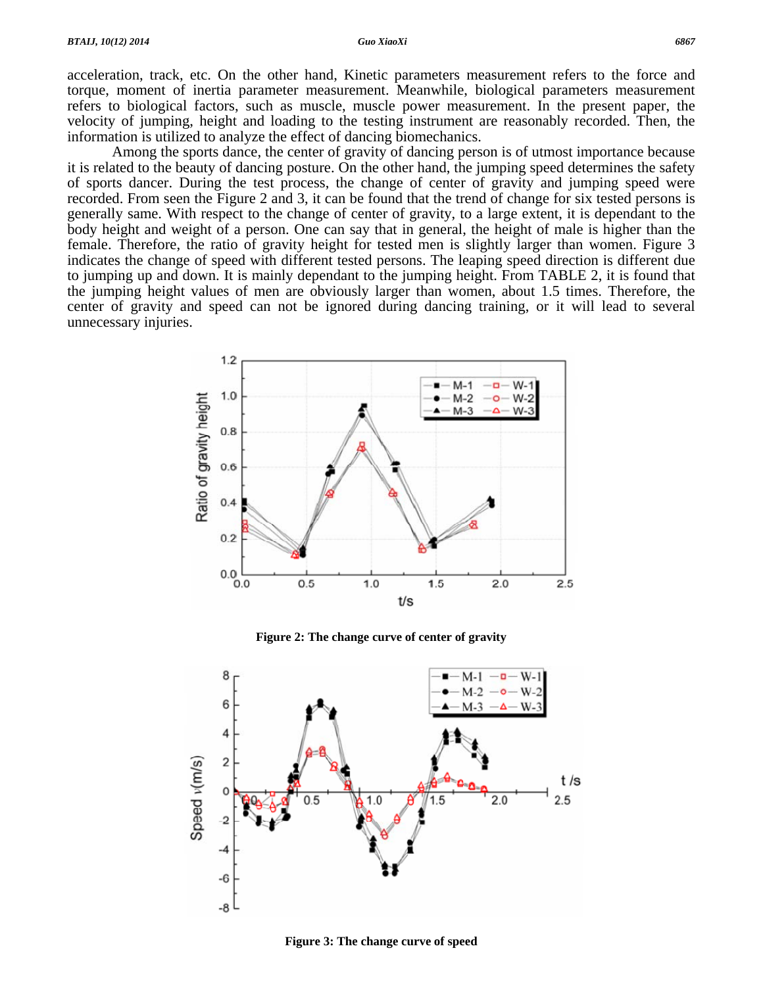# acceleration, track, etc. On the other hand, Kinetic parameters measurement refers to the force and torque, moment of inertia parameter measurement. Meanwhile, biological parameters measurement refers to biological factors, such as muscle, muscle power measurement. In the present paper, the velocity of jumping, height and loading to the testing instrument are reasonably recorded. Then, the information is utilized to analyze the effect of dancing biomechanics.

 Among the sports dance, the center of gravity of dancing person is of utmost importance because it is related to the beauty of dancing posture. On the other hand, the jumping speed determines the safety of sports dancer. During the test process, the change of center of gravity and jumping speed were recorded. From seen the Figure 2 and 3, it can be found that the trend of change for six tested persons is generally same. With respect to the change of center of gravity, to a large extent, it is dependant to the body height and weight of a person. One can say that in general, the height of male is higher than the female. Therefore, the ratio of gravity height for tested men is slightly larger than women. Figure 3 indicates the change of speed with different tested persons. The leaping speed direction is different due to jumping up and down. It is mainly dependant to the jumping height. From TABLE 2, it is found that the jumping height values of men are obviously larger than women, about 1.5 times. Therefore, the center of gravity and speed can not be ignored during dancing training, or it will lead to several unnecessary injuries.



**Figure 2: The change curve of center of gravity** 



**Figure 3: The change curve of speed**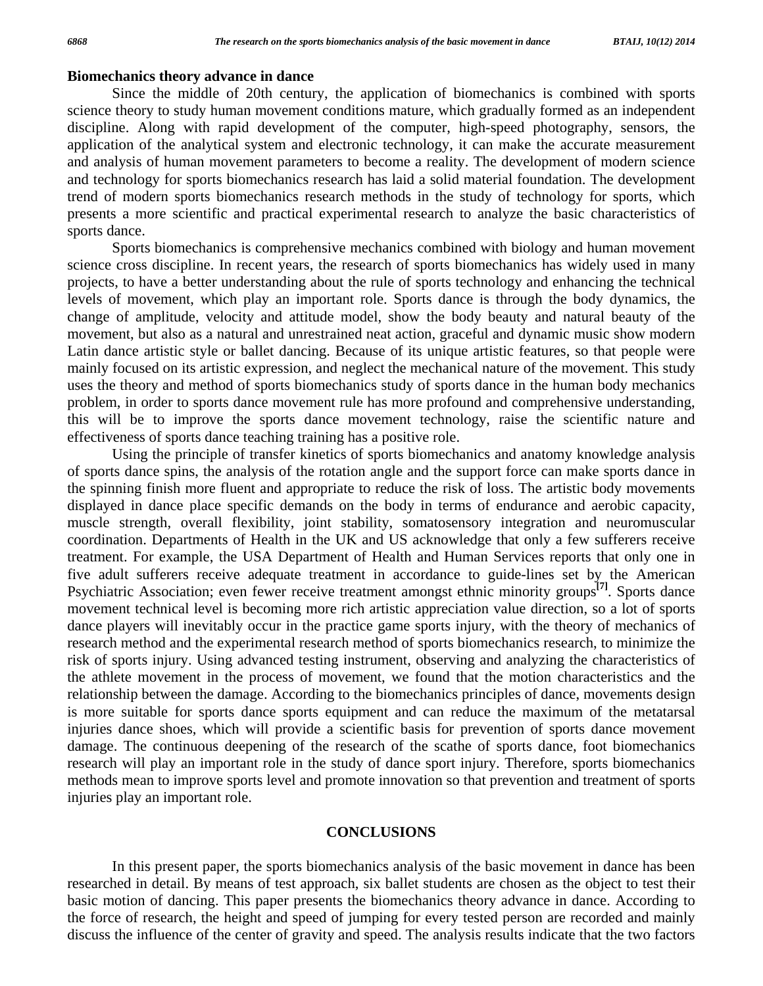# **Biomechanics theory advance in dance**

 Since the middle of 20th century, the application of biomechanics is combined with sports science theory to study human movement conditions mature, which gradually formed as an independent discipline. Along with rapid development of the computer, high-speed photography, sensors, the application of the analytical system and electronic technology, it can make the accurate measurement and analysis of human movement parameters to become a reality. The development of modern science and technology for sports biomechanics research has laid a solid material foundation. The development trend of modern sports biomechanics research methods in the study of technology for sports, which presents a more scientific and practical experimental research to analyze the basic characteristics of sports dance.

 Sports biomechanics is comprehensive mechanics combined with biology and human movement science cross discipline. In recent years, the research of sports biomechanics has widely used in many projects, to have a better understanding about the rule of sports technology and enhancing the technical levels of movement, which play an important role. Sports dance is through the body dynamics, the change of amplitude, velocity and attitude model, show the body beauty and natural beauty of the movement, but also as a natural and unrestrained neat action, graceful and dynamic music show modern Latin dance artistic style or ballet dancing. Because of its unique artistic features, so that people were mainly focused on its artistic expression, and neglect the mechanical nature of the movement. This study uses the theory and method of sports biomechanics study of sports dance in the human body mechanics problem, in order to sports dance movement rule has more profound and comprehensive understanding, this will be to improve the sports dance movement technology, raise the scientific nature and effectiveness of sports dance teaching training has a positive role.

 Using the principle of transfer kinetics of sports biomechanics and anatomy knowledge analysis of sports dance spins, the analysis of the rotation angle and the support force can make sports dance in the spinning finish more fluent and appropriate to reduce the risk of loss. The artistic body movements displayed in dance place specific demands on the body in terms of endurance and aerobic capacity, muscle strength, overall flexibility, joint stability, somatosensory integration and neuromuscular coordination. Departments of Health in the UK and US acknowledge that only a few sufferers receive treatment. For example, the USA Department of Health and Human Services reports that only one in five adult sufferers receive adequate treatment in accordance to guide-lines set by the American Psychiatric Association; even fewer receive treatment amongst ethnic minority groups**[7]**. Sports dance movement technical level is becoming more rich artistic appreciation value direction, so a lot of sports dance players will inevitably occur in the practice game sports injury, with the theory of mechanics of research method and the experimental research method of sports biomechanics research, to minimize the risk of sports injury. Using advanced testing instrument, observing and analyzing the characteristics of the athlete movement in the process of movement, we found that the motion characteristics and the relationship between the damage. According to the biomechanics principles of dance, movements design is more suitable for sports dance sports equipment and can reduce the maximum of the metatarsal injuries dance shoes, which will provide a scientific basis for prevention of sports dance movement damage. The continuous deepening of the research of the scathe of sports dance, foot biomechanics research will play an important role in the study of dance sport injury. Therefore, sports biomechanics methods mean to improve sports level and promote innovation so that prevention and treatment of sports injuries play an important role.

### **CONCLUSIONS**

 In this present paper, the sports biomechanics analysis of the basic movement in dance has been researched in detail. By means of test approach, six ballet students are chosen as the object to test their basic motion of dancing. This paper presents the biomechanics theory advance in dance. According to the force of research, the height and speed of jumping for every tested person are recorded and mainly discuss the influence of the center of gravity and speed. The analysis results indicate that the two factors